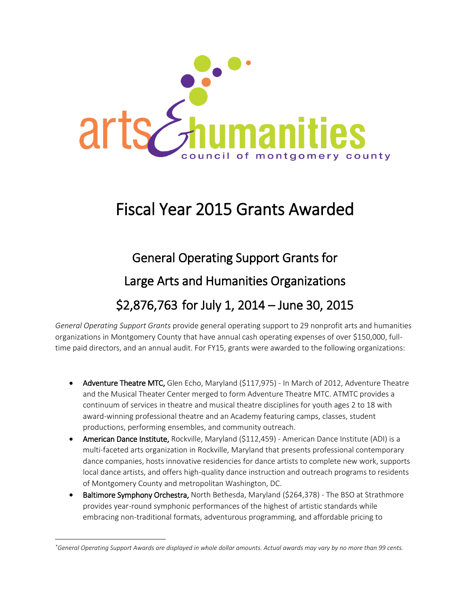

# Fiscal Year 2015 Grants Awarded

# General Operating Support Grants for Large Arts and Humanities Organizations \$2,876,763 for July 1, 2014 – June 30, 2015

*General Operating Support Grants* provide general operating support to 29 nonprofit arts and humanities organizations in Montgomery County that have annual cash operating expenses of over \$150,000, fulltime paid directors, and an annual audit. For FY15, grants were awarded to the following organizations:

- Adventure Theatre MTC, Glen Echo, Maryland (\$117,975) In March of 2012, Adventure Theatre and the Musical Theater Center merged to form Adventure Theatre MTC. ATMTC provides a continuum of services in theatre and musical theatre disciplines for youth ages 2 to 18 with award-winning professional theatre and an Academy featuring camps, classes, student productions, performing ensembles, and community outreach.
- American Dance Institute, Rockville, Maryland (\$112,459) American Dance Institute (ADI) is a multi-faceted arts organization in Rockville, Maryland that presents professional contemporary dance companies, hosts innovative residencies for dance artists to complete new work, supports local dance artists, and offers high-quality dance instruction and outreach programs to residents of Montgomery County and metropolitan Washington, DC.
- Baltimore Symphony Orchestra, North Bethesda, Maryland (\$264,378) The BSO at Strathmore provides year-round symphonic performances of the highest of artistic standards while embracing non-traditional formats, adventurous programming, and affordable pricing to

 $\overline{a}$ 

*<sup>\*</sup>General Operating Support Awards are displayed in whole dollar amounts. Actual awards may vary by no more than 99 cents.*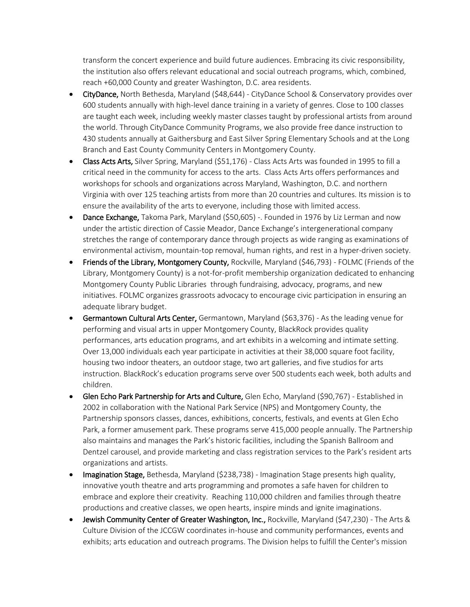transform the concert experience and build future audiences. Embracing its civic responsibility, the institution also offers relevant educational and social outreach programs, which, combined, reach +60,000 County and greater Washington, D.C. area residents.

- CityDance, North Bethesda, Maryland (\$48,644) CityDance School & Conservatory provides over 600 students annually with high-level dance training in a variety of genres. Close to 100 classes are taught each week, including weekly master classes taught by professional artists from around the world. Through CityDance Community Programs, we also provide free dance instruction to 430 students annually at Gaithersburg and East Silver Spring Elementary Schools and at the Long Branch and East County Community Centers in Montgomery County.
- Class Acts Arts, Silver Spring, Maryland (\$51,176) Class Acts Arts was founded in 1995 to fill a critical need in the community for access to the arts. Class Acts Arts offers performances and workshops for schools and organizations across Maryland, Washington, D.C. and northern Virginia with over 125 teaching artists from more than 20 countries and cultures. Its mission is to ensure the availability of the arts to everyone, including those with limited access.
- Dance Exchange, Takoma Park, Maryland (\$50,605) -. Founded in 1976 by Liz Lerman and now under the artistic direction of Cassie Meador, Dance Exchange's intergenerational company stretches the range of contemporary dance through projects as wide ranging as examinations of environmental activism, mountain-top removal, human rights, and rest in a hyper-driven society.
- Friends of the Library, Montgomery County, Rockville, Maryland (\$46,793) FOLMC (Friends of the Library, Montgomery County) is a not-for-profit membership organization dedicated to enhancing Montgomery County Public Libraries through fundraising, advocacy, programs, and new initiatives. FOLMC organizes grassroots advocacy to encourage civic participation in ensuring an adequate library budget.
- Germantown Cultural Arts Center, Germantown, Maryland (\$63,376) As the leading venue for performing and visual arts in upper Montgomery County, BlackRock provides quality performances, arts education programs, and art exhibits in a welcoming and intimate setting. Over 13,000 individuals each year participate in activities at their 38,000 square foot facility, housing two indoor theaters, an outdoor stage, two art galleries, and five studios for arts instruction. BlackRock's education programs serve over 500 students each week, both adults and children.
- Glen Echo Park Partnership for Arts and Culture, Glen Echo, Maryland (\$90,767) Established in 2002 in collaboration with the National Park Service (NPS) and Montgomery County, the Partnership sponsors classes, dances, exhibitions, concerts, festivals, and events at Glen Echo Park, a former amusement park. These programs serve 415,000 people annually. The Partnership also maintains and manages the Park's historic facilities, including the Spanish Ballroom and Dentzel carousel, and provide marketing and class registration services to the Park's resident arts organizations and artists.
- Imagination Stage, Bethesda, Maryland (\$238,738) Imagination Stage presents high quality, innovative youth theatre and arts programming and promotes a safe haven for children to embrace and explore their creativity. Reaching 110,000 children and families through theatre productions and creative classes, we open hearts, inspire minds and ignite imaginations.
- Jewish Community Center of Greater Washington, Inc., Rockville, Maryland (\$47,230) The Arts & Culture Division of the JCCGW coordinates in-house and community performances, events and exhibits; arts education and outreach programs. The Division helps to fulfill the Center's mission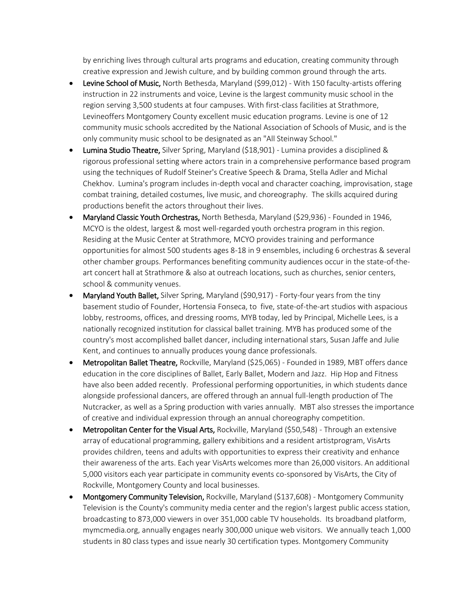by enriching lives through cultural arts programs and education, creating community through creative expression and Jewish culture, and by building common ground through the arts.

- Levine School of Music, North Bethesda, Maryland (\$99,012) With 150 faculty-artists offering instruction in 22 instruments and voice, Levine is the largest community music school in the region serving 3,500 students at four campuses. With first-class facilities at Strathmore, Levineoffers Montgomery County excellent music education programs. Levine is one of 12 community music schools accredited by the National Association of Schools of Music, and is the only community music school to be designated as an "All Steinway School."
- Lumina Studio Theatre, Silver Spring, Maryland (\$18,901) Lumina provides a disciplined & rigorous professional setting where actors train in a comprehensive performance based program using the techniques of Rudolf Steiner's Creative Speech & Drama, Stella Adler and Michal Chekhov. Lumina's program includes in-depth vocal and character coaching, improvisation, stage combat training, detailed costumes, live music, and choreography. The skills acquired during productions benefit the actors throughout their lives.
- Maryland Classic Youth Orchestras, North Bethesda, Maryland (\$29,936) Founded in 1946, MCYO is the oldest, largest & most well-regarded youth orchestra program in this region. Residing at the Music Center at Strathmore, MCYO provides training and performance opportunities for almost 500 students ages 8-18 in 9 ensembles, including 6 orchestras & several other chamber groups. Performances benefiting community audiences occur in the state-of-theart concert hall at Strathmore & also at outreach locations, such as churches, senior centers, school & community venues.
- Maryland Youth Ballet, Silver Spring, Maryland (\$90,917) Forty-four years from the tiny basement studio of Founder, Hortensia Fonseca, to five, state-of-the-art studios with aspacious lobby, restrooms, offices, and dressing rooms, MYB today, led by Principal, Michelle Lees, is a nationally recognized institution for classical ballet training. MYB has produced some of the country's most accomplished ballet dancer, including international stars, Susan Jaffe and Julie Kent, and continues to annually produces young dance professionals.
- Metropolitan Ballet Theatre, Rockville, Maryland (\$25,065) Founded in 1989, MBT offers dance education in the core disciplines of Ballet, Early Ballet, Modern and Jazz. Hip Hop and Fitness have also been added recently. Professional performing opportunities, in which students dance alongside professional dancers, are offered through an annual full-length production of The Nutcracker, as well as a Spring production with varies annually. MBT also stresses the importance of creative and individual expression through an annual choreography competition.
- Metropolitan Center for the Visual Arts, Rockville, Maryland (\$50,548) Through an extensive array of educational programming, gallery exhibitions and a resident artistprogram, VisArts provides children, teens and adults with opportunities to express their creativity and enhance their awareness of the arts. Each year VisArts welcomes more than 26,000 visitors. An additional 5,000 visitors each year participate in community events co-sponsored by VisArts, the City of Rockville, Montgomery County and local businesses.
- Montgomery Community Television, Rockville, Maryland (\$137,608) Montgomery Community Television is the County's community media center and the region's largest public access station, broadcasting to 873,000 viewers in over 351,000 cable TV households. Its broadband platform, mymcmedia.org, annually engages nearly 300,000 unique web visitors. We annually teach 1,000 students in 80 class types and issue nearly 30 certification types. Montgomery Community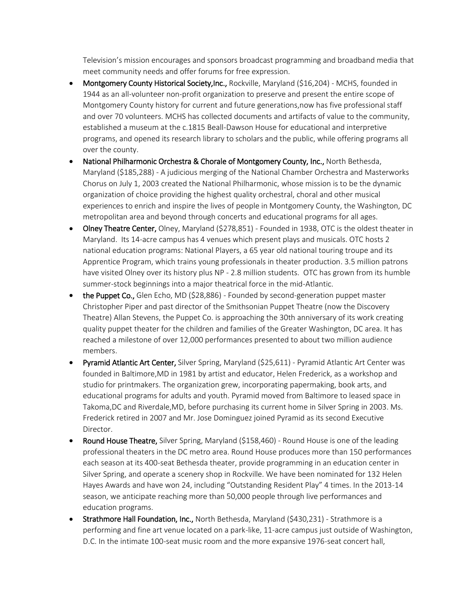Television's mission encourages and sponsors broadcast programming and broadband media that meet community needs and offer forums for free expression.

- Montgomery County Historical Society,Inc., Rockville, Maryland (\$16,204) MCHS, founded in 1944 as an all-volunteer non-profit organization to preserve and present the entire scope of Montgomery County history for current and future generations,now has five professional staff and over 70 volunteers. MCHS has collected documents and artifacts of value to the community, established a museum at the c.1815 Beall-Dawson House for educational and interpretive programs, and opened its research library to scholars and the public, while offering programs all over the county.
- National Philharmonic Orchestra & Chorale of Montgomery County, Inc., North Bethesda, Maryland (\$185,288) - A judicious merging of the National Chamber Orchestra and Masterworks Chorus on July 1, 2003 created the National Philharmonic, whose mission is to be the dynamic organization of choice providing the highest quality orchestral, choral and other musical experiences to enrich and inspire the lives of people in Montgomery County, the Washington, DC metropolitan area and beyond through concerts and educational programs for all ages.
- Olney Theatre Center, Olney, Maryland (\$278,851) Founded in 1938, OTC is the oldest theater in Maryland. Its 14-acre campus has 4 venues which present plays and musicals. OTC hosts 2 national education programs: National Players, a 65 year old national touring troupe and its Apprentice Program, which trains young professionals in theater production. 3.5 million patrons have visited Olney over its history plus NP - 2.8 million students. OTC has grown from its humble summer-stock beginnings into a major theatrical force in the mid-Atlantic.
- $\bullet$  the Puppet Co., Glen Echo, MD (\$28,886) Founded by second-generation puppet master Christopher Piper and past director of the Smithsonian Puppet Theatre (now the Discovery Theatre) Allan Stevens, the Puppet Co. is approaching the 30th anniversary of its work creating quality puppet theater for the children and families of the Greater Washington, DC area. It has reached a milestone of over 12,000 performances presented to about two million audience members.
- Pyramid Atlantic Art Center, Silver Spring, Maryland (\$25,611) Pyramid Atlantic Art Center was founded in Baltimore,MD in 1981 by artist and educator, Helen Frederick, as a workshop and studio for printmakers. The organization grew, incorporating papermaking, book arts, and educational programs for adults and youth. Pyramid moved from Baltimore to leased space in Takoma,DC and Riverdale,MD, before purchasing its current home in Silver Spring in 2003. Ms. Frederick retired in 2007 and Mr. Jose Dominguez joined Pyramid as its second Executive Director.
- Round House Theatre, Silver Spring, Maryland (\$158,460) Round House is one of the leading professional theaters in the DC metro area. Round House produces more than 150 performances each season at its 400-seat Bethesda theater, provide programming in an education center in Silver Spring, and operate a scenery shop in Rockville. We have been nominated for 132 Helen Hayes Awards and have won 24, including "Outstanding Resident Play" 4 times. In the 2013-14 season, we anticipate reaching more than 50,000 people through live performances and education programs.
- Strathmore Hall Foundation, Inc., North Bethesda, Maryland (\$430,231) Strathmore is a performing and fine art venue located on a park-like, 11-acre campus just outside of Washington, D.C. In the intimate 100-seat music room and the more expansive 1976-seat concert hall,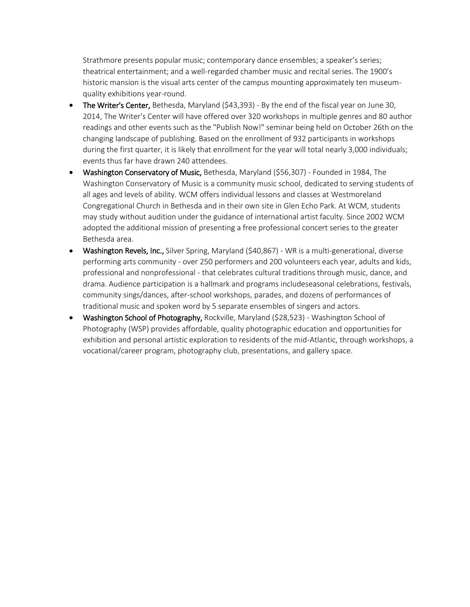Strathmore presents popular music; contemporary dance ensembles; a speaker's series; theatrical entertainment; and a well-regarded chamber music and recital series. The 1900's historic mansion is the visual arts center of the campus mounting approximately ten museumquality exhibitions year-round.

- The Writer's Center, Bethesda, Maryland (\$43,393) By the end of the fiscal year on June 30, 2014, The Writer's Center will have offered over 320 workshops in multiple genres and 80 author readings and other events such as the "Publish Now!" seminar being held on October 26th on the changing landscape of publishing. Based on the enrollment of 932 participants in workshops during the first quarter, it is likely that enrollment for the year will total nearly 3,000 individuals; events thus far have drawn 240 attendees.
- Washington Conservatory of Music, Bethesda, Maryland (\$56,307) Founded in 1984, The Washington Conservatory of Music is a community music school, dedicated to serving students of all ages and levels of ability. WCM offers individual lessons and classes at Westmoreland Congregational Church in Bethesda and in their own site in Glen Echo Park. At WCM, students may study without audition under the guidance of international artist faculty. Since 2002 WCM adopted the additional mission of presenting a free professional concert series to the greater Bethesda area.
- Washington Revels, Inc., Silver Spring, Maryland (\$40,867) WR is a multi-generational, diverse performing arts community - over 250 performers and 200 volunteers each year, adults and kids, professional and nonprofessional - that celebrates cultural traditions through music, dance, and drama. Audience participation is a hallmark and programs includeseasonal celebrations, festivals, community sings/dances, after-school workshops, parades, and dozens of performances of traditional music and spoken word by 5 separate ensembles of singers and actors.
- Washington School of Photography, Rockville, Maryland (\$28,523) Washington School of Photography (WSP) provides affordable, quality photographic education and opportunities for exhibition and personal artistic exploration to residents of the mid-Atlantic, through workshops, a vocational/career program, photography club, presentations, and gallery space.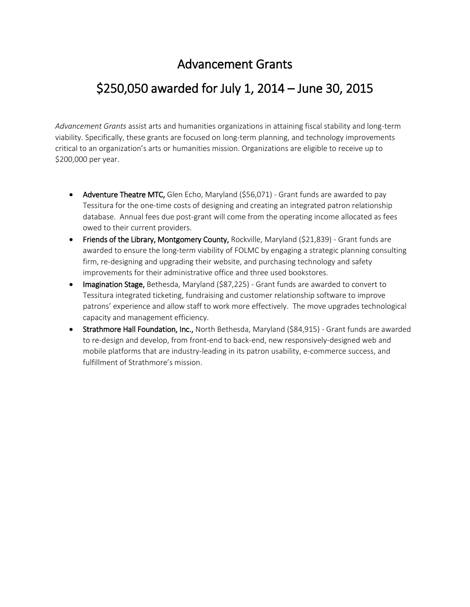#### Advancement Grants

#### \$250,050 awarded for July 1, 2014 – June 30, 2015

*Advancement Grants* assist arts and humanities organizations in attaining fiscal stability and long-term viability. Specifically, these grants are focused on long-term planning, and technology improvements critical to an organization's arts or humanities mission. Organizations are eligible to receive up to \$200,000 per year.

- Adventure Theatre MTC, Glen Echo, Maryland (\$56,071) Grant funds are awarded to pay Tessitura for the one-time costs of designing and creating an integrated patron relationship database. Annual fees due post-grant will come from the operating income allocated as fees owed to their current providers.
- Friends of the Library, Montgomery County, Rockville, Maryland (\$21,839) Grant funds are awarded to ensure the long-term viability of FOLMC by engaging a strategic planning consulting firm, re-designing and upgrading their website, and purchasing technology and safety improvements for their administrative office and three used bookstores.
- Imagination Stage, Bethesda, Maryland (\$87,225) Grant funds are awarded to convert to Tessitura integrated ticketing, fundraising and customer relationship software to improve patrons' experience and allow staff to work more effectively. The move upgrades technological capacity and management efficiency.
- Strathmore Hall Foundation, Inc., North Bethesda, Maryland (\$84,915) Grant funds are awarded to re-design and develop, from front-end to back-end, new responsively-designed web and mobile platforms that are industry-leading in its patron usability, e-commerce success, and fulfillment of Strathmore's mission.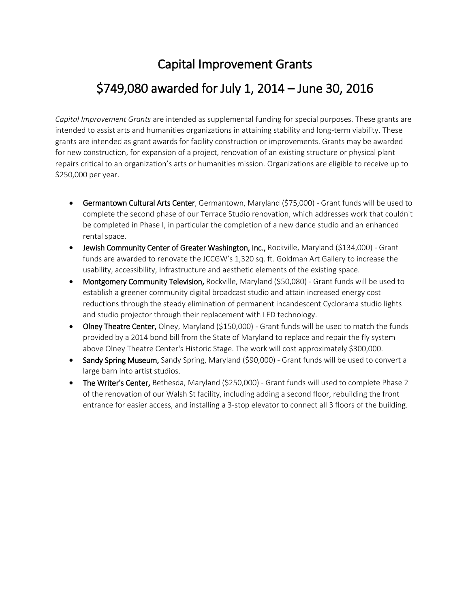# Capital Improvement Grants \$749,080 awarded for July 1, 2014 – June 30, 2016

*Capital Improvement Grants* are intended as supplemental funding for special purposes. These grants are intended to assist arts and humanities organizations in attaining stability and long-term viability. These grants are intended as grant awards for facility construction or improvements. Grants may be awarded for new construction, for expansion of a project, renovation of an existing structure or physical plant repairs critical to an organization's arts or humanities mission. Organizations are eligible to receive up to \$250,000 per year.

- Germantown Cultural Arts Center, Germantown, Maryland (\$75,000) Grant funds will be used to complete the second phase of our Terrace Studio renovation, which addresses work that couldn't be completed in Phase I, in particular the completion of a new dance studio and an enhanced rental space.
- Jewish Community Center of Greater Washington, Inc., Rockville, Maryland (\$134,000) Grant funds are awarded to renovate the JCCGW's 1,320 sq. ft. Goldman Art Gallery to increase the usability, accessibility, infrastructure and aesthetic elements of the existing space.
- Montgomery Community Television, Rockville, Maryland (\$50,080) Grant funds will be used to establish a greener community digital broadcast studio and attain increased energy cost reductions through the steady elimination of permanent incandescent Cyclorama studio lights and studio projector through their replacement with LED technology.
- Olney Theatre Center, Olney, Maryland (\$150,000) Grant funds will be used to match the funds provided by a 2014 bond bill from the State of Maryland to replace and repair the fly system above Olney Theatre Center's Historic Stage. The work will cost approximately \$300,000.
- Sandy Spring Museum, Sandy Spring, Maryland (\$90,000) Grant funds will be used to convert a large barn into artist studios.
- The Writer's Center, Bethesda, Maryland (\$250,000) Grant funds will used to complete Phase 2 of the renovation of our Walsh St facility, including adding a second floor, rebuilding the front entrance for easier access, and installing a 3-stop elevator to connect all 3 floors of the building.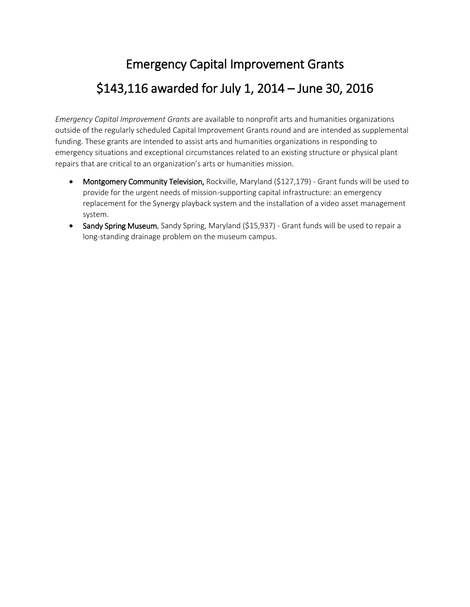# Emergency Capital Improvement Grants \$143,116 awarded for July 1, 2014 – June 30, 2016

*Emergency Capital Improvement Grants* are available to nonprofit arts and humanities organizations outside of the regularly scheduled Capital Improvement Grants round and are intended as supplemental funding. These grants are intended to assist arts and humanities organizations in responding to emergency situations and exceptional circumstances related to an existing structure or physical plant repairs that are critical to an organization's arts or humanities mission.

- Montgomery Community Television, Rockville, Maryland (\$127,179) Grant funds will be used to provide for the urgent needs of mission-supporting capital infrastructure: an emergency replacement for the Synergy playback system and the installation of a video asset management system.
- Sandy Spring Museum, Sandy Spring, Maryland (\$15,937) Grant funds will be used to repair a long-standing drainage problem on the museum campus.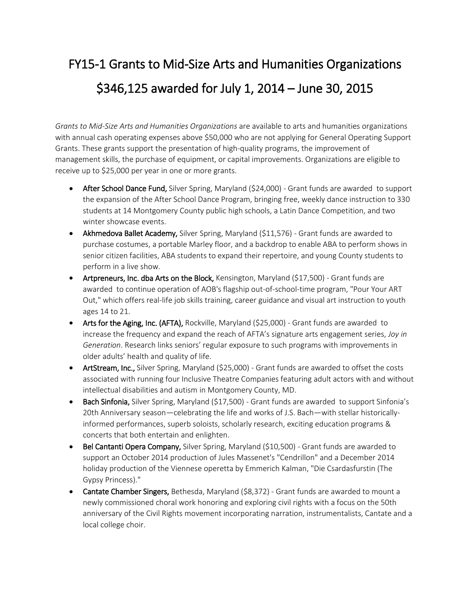# FY15-1 Grants to Mid-Size Arts and Humanities Organizations \$346,125 awarded for July 1, 2014 – June 30, 2015

*Grants to Mid-Size Arts and Humanities Organizations* are available to arts and humanities organizations with annual cash operating expenses above \$50,000 who are not applying for General Operating Support Grants. These grants support the presentation of high-quality programs, the improvement of management skills, the purchase of equipment, or capital improvements. Organizations are eligible to receive up to \$25,000 per year in one or more grants.

- After School Dance Fund, Silver Spring, Maryland (\$24,000) Grant funds are awarded to support the expansion of the After School Dance Program, bringing free, weekly dance instruction to 330 students at 14 Montgomery County public high schools, a Latin Dance Competition, and two winter showcase events.
- Akhmedova Ballet Academy, Silver Spring, Maryland (\$11,576) Grant funds are awarded to purchase costumes, a portable Marley floor, and a backdrop to enable ABA to perform shows in senior citizen facilities, ABA students to expand their repertoire, and young County students to perform in a live show.
- Artpreneurs, Inc. dba Arts on the Block, Kensington, Maryland (\$17,500) Grant funds are awarded to continue operation of AOB's flagship out-of-school-time program, "Pour Your ART Out," which offers real-life job skills training, career guidance and visual art instruction to youth ages 14 to 21.
- Arts for the Aging, Inc. (AFTA), Rockville, Maryland (\$25,000) Grant funds are awarded to increase the frequency and expand the reach of AFTA's signature arts engagement series, *Joy in Generation*. Research links seniors' regular exposure to such programs with improvements in older adults' health and quality of life.
- ArtStream, Inc., Silver Spring, Maryland (\$25,000) Grant funds are awarded to offset the costs associated with running four Inclusive Theatre Companies featuring adult actors with and without intellectual disabilities and autism in Montgomery County, MD.
- Bach Sinfonia, Silver Spring, Maryland (\$17,500) Grant funds are awarded to support Sinfonia's 20th Anniversary season—celebrating the life and works of J.S. Bach—with stellar historicallyinformed performances, superb soloists, scholarly research, exciting education programs & concerts that both entertain and enlighten.
- Bel Cantanti Opera Company, Silver Spring, Maryland (\$10,500) Grant funds are awarded to support an October 2014 production of Jules Massenet's "Cendrillon" and a December 2014 holiday production of the Viennese operetta by Emmerich Kalman, "Die Csardasfurstin (The Gypsy Princess)."
- Cantate Chamber Singers, Bethesda, Maryland (\$8,372) Grant funds are awarded to mount a newly commissioned choral work honoring and exploring civil rights with a focus on the 50th anniversary of the Civil Rights movement incorporating narration, instrumentalists, Cantate and a local college choir.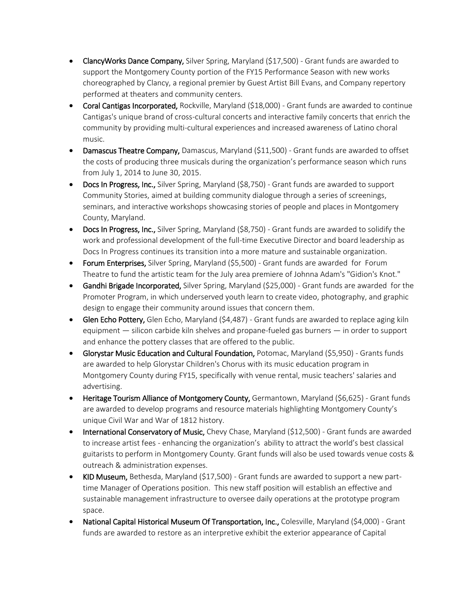- ClancyWorks Dance Company, Silver Spring, Maryland (\$17,500) Grant funds are awarded to support the Montgomery County portion of the FY15 Performance Season with new works choreographed by Clancy, a regional premier by Guest Artist Bill Evans, and Company repertory performed at theaters and community centers.
- Coral Cantigas Incorporated, Rockville, Maryland (\$18,000) Grant funds are awarded to continue Cantigas's unique brand of cross-cultural concerts and interactive family concerts that enrich the community by providing multi-cultural experiences and increased awareness of Latino choral music.
- Damascus Theatre Company, Damascus, Maryland (\$11,500) Grant funds are awarded to offset the costs of producing three musicals during the organization's performance season which runs from July 1, 2014 to June 30, 2015.
- Docs In Progress, Inc., Silver Spring, Maryland (\$8,750) Grant funds are awarded to support Community Stories, aimed at building community dialogue through a series of screenings, seminars, and interactive workshops showcasing stories of people and places in Montgomery County, Maryland.
- Docs In Progress, Inc., Silver Spring, Maryland (\$8,750) Grant funds are awarded to solidify the work and professional development of the full-time Executive Director and board leadership as Docs In Progress continues its transition into a more mature and sustainable organization.
- Forum Enterprises, Silver Spring, Maryland (\$5,500) Grant funds are awarded for Forum Theatre to fund the artistic team for the July area premiere of Johnna Adam's "Gidion's Knot."
- **Gandhi Brigade Incorporated,** Silver Spring, Maryland (\$25,000) Grant funds are awarded for the Promoter Program, in which underserved youth learn to create video, photography, and graphic design to engage their community around issues that concern them.
- Glen Echo Pottery, Glen Echo, Maryland (\$4,487) Grant funds are awarded to replace aging kiln equipment — silicon carbide kiln shelves and propane-fueled gas burners — in order to support and enhance the pottery classes that are offered to the public.
- Glorystar Music Education and Cultural Foundation, Potomac, Maryland (\$5,950) Grants funds are awarded to help Glorystar Children's Chorus with its music education program in Montgomery County during FY15, specifically with venue rental, music teachers' salaries and advertising.
- Heritage Tourism Alliance of Montgomery County, Germantown, Maryland (\$6,625) Grant funds are awarded to develop programs and resource materials highlighting Montgomery County's unique Civil War and War of 1812 history.
- International Conservatory of Music, Chevy Chase, Maryland (\$12,500) Grant funds are awarded to increase artist fees - enhancing the organization's ability to attract the world's best classical guitarists to perform in Montgomery County. Grant funds will also be used towards venue costs & outreach & administration expenses.
- KID Museum, Bethesda, Maryland (\$17,500) Grant funds are awarded to support a new parttime Manager of Operations position. This new staff position will establish an effective and sustainable management infrastructure to oversee daily operations at the prototype program space.
- National Capital Historical Museum Of Transportation, Inc., Colesville, Maryland (\$4,000) Grant funds are awarded to restore as an interpretive exhibit the exterior appearance of Capital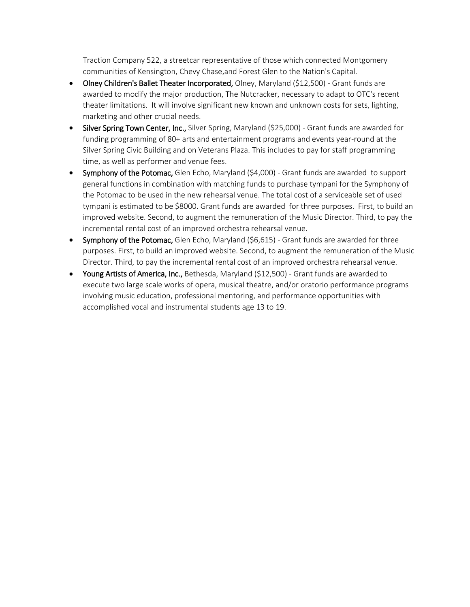Traction Company 522, a streetcar representative of those which connected Montgomery communities of Kensington, Chevy Chase,and Forest Glen to the Nation's Capital.

- Olney Children's Ballet Theater Incorporated, Olney, Maryland (\$12,500) Grant funds are awarded to modify the major production, The Nutcracker, necessary to adapt to OTC's recent theater limitations. It will involve significant new known and unknown costs for sets, lighting, marketing and other crucial needs.
- Silver Spring Town Center, Inc., Silver Spring, Maryland (\$25,000) Grant funds are awarded for funding programming of 80+ arts and entertainment programs and events year-round at the Silver Spring Civic Building and on Veterans Plaza. This includes to pay for staff programming time, as well as performer and venue fees.
- Symphony of the Potomac, Glen Echo, Maryland (\$4,000) Grant funds are awarded to support general functions in combination with matching funds to purchase tympani for the Symphony of the Potomac to be used in the new rehearsal venue. The total cost of a serviceable set of used tympani is estimated to be \$8000. Grant funds are awarded for three purposes. First, to build an improved website. Second, to augment the remuneration of the Music Director. Third, to pay the incremental rental cost of an improved orchestra rehearsal venue.
- Symphony of the Potomac, Glen Echo, Maryland (\$6,615) Grant funds are awarded for three purposes. First, to build an improved website. Second, to augment the remuneration of the Music Director. Third, to pay the incremental rental cost of an improved orchestra rehearsal venue.
- Young Artists of America, Inc., Bethesda, Maryland (\$12,500) Grant funds are awarded to execute two large scale works of opera, musical theatre, and/or oratorio performance programs involving music education, professional mentoring, and performance opportunities with accomplished vocal and instrumental students age 13 to 19.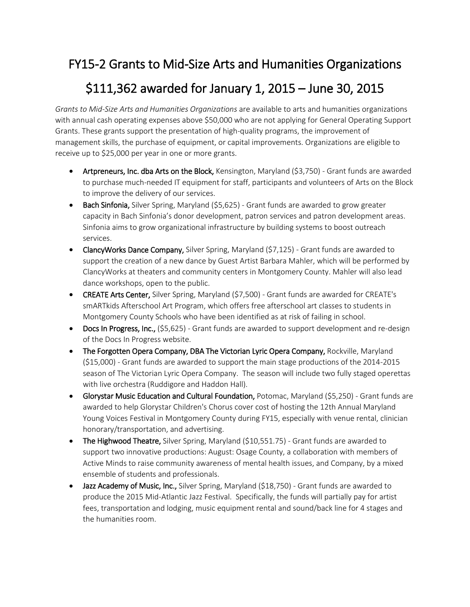#### FY15-2 Grants to Mid-Size Arts and Humanities Organizations

### \$111,362 awarded for January 1, 2015 – June 30, 2015

*Grants to Mid-Size Arts and Humanities Organizations* are available to arts and humanities organizations with annual cash operating expenses above \$50,000 who are not applying for General Operating Support Grants. These grants support the presentation of high-quality programs, the improvement of management skills, the purchase of equipment, or capital improvements. Organizations are eligible to receive up to \$25,000 per year in one or more grants.

- Artpreneurs, Inc. dba Arts on the Block, Kensington, Maryland (\$3,750) Grant funds are awarded to purchase much-needed IT equipment for staff, participants and volunteers of Arts on the Block to improve the delivery of our services.
- Bach Sinfonia, Silver Spring, Maryland (\$5,625) Grant funds are awarded to grow greater capacity in Bach Sinfonia's donor development, patron services and patron development areas. Sinfonia aims to grow organizational infrastructure by building systems to boost outreach services.
- ClancyWorks Dance Company, Silver Spring, Maryland (\$7,125) Grant funds are awarded to support the creation of a new dance by Guest Artist Barbara Mahler, which will be performed by ClancyWorks at theaters and community centers in Montgomery County. Mahler will also lead dance workshops, open to the public.
- CREATE Arts Center, Silver Spring, Maryland (\$7,500) Grant funds are awarded for CREATE's smARTkids Afterschool Art Program, which offers free afterschool art classes to students in Montgomery County Schools who have been identified as at risk of failing in school.
- Docs In Progress, Inc., (\$5,625) Grant funds are awarded to support development and re-design of the Docs In Progress website.
- The Forgotten Opera Company, DBA The Victorian Lyric Opera Company, Rockville, Maryland (\$15,000) - Grant funds are awarded to support the main stage productions of the 2014-2015 season of The Victorian Lyric Opera Company. The season will include two fully staged operettas with live orchestra (Ruddigore and Haddon Hall).
- Glorystar Music Education and Cultural Foundation, Potomac, Maryland (\$5,250) Grant funds are awarded to help Glorystar Children's Chorus cover cost of hosting the 12th Annual Maryland Young Voices Festival in Montgomery County during FY15, especially with venue rental, clinician honorary/transportation, and advertising.
- The Highwood Theatre, Silver Spring, Maryland (\$10,551.75) Grant funds are awarded to support two innovative productions: August: Osage County, a collaboration with members of Active Minds to raise community awareness of mental health issues, and Company, by a mixed ensemble of students and professionals.
- Jazz Academy of Music, Inc., Silver Spring, Maryland (\$18,750) Grant funds are awarded to produce the 2015 Mid-Atlantic Jazz Festival. Specifically, the funds will partially pay for artist fees, transportation and lodging, music equipment rental and sound/back line for 4 stages and the humanities room.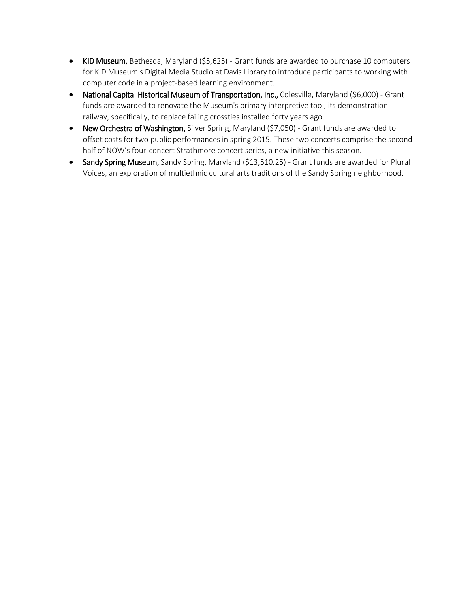- KID Museum, Bethesda, Maryland (\$5,625) Grant funds are awarded to purchase 10 computers for KID Museum's Digital Media Studio at Davis Library to introduce participants to working with computer code in a project-based learning environment.
- National Capital Historical Museum of Transportation, Inc., Colesville, Maryland (\$6,000) Grant funds are awarded to renovate the Museum's primary interpretive tool, its demonstration railway, specifically, to replace failing crossties installed forty years ago.
- New Orchestra of Washington, Silver Spring, Maryland (\$7,050) Grant funds are awarded to offset costs for two public performances in spring 2015. These two concerts comprise the second half of NOW's four-concert Strathmore concert series, a new initiative this season.
- Sandy Spring Museum, Sandy Spring, Maryland (\$13,510.25) Grant funds are awarded for Plural Voices, an exploration of multiethnic cultural arts traditions of the Sandy Spring neighborhood.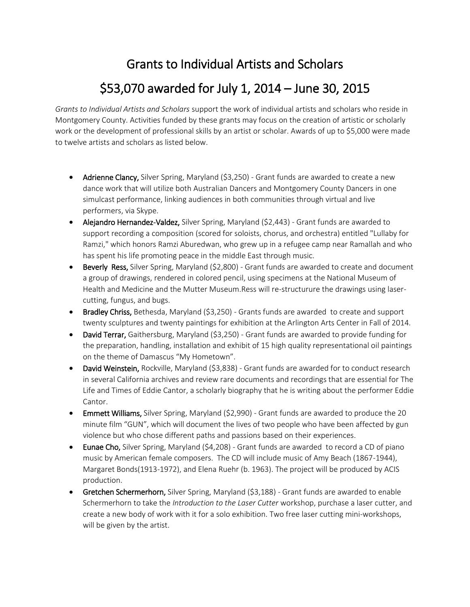### Grants to Individual Artists and Scholars

### \$53,070 awarded for July 1, 2014 – June 30, 2015

*Grants to Individual Artists and Scholars* support the work of individual artists and scholars who reside in Montgomery County. Activities funded by these grants may focus on the creation of artistic or scholarly work or the development of professional skills by an artist or scholar. Awards of up to \$5,000 were made to twelve artists and scholars as listed below.

- Adrienne Clancy, Silver Spring, Maryland (\$3,250) Grant funds are awarded to create a new dance work that will utilize both Australian Dancers and Montgomery County Dancers in one simulcast performance, linking audiences in both communities through virtual and live performers, via Skype.
- Alejandro Hernandez-Valdez, Silver Spring, Maryland (\$2,443) Grant funds are awarded to support recording a composition (scored for soloists, chorus, and orchestra) entitled "Lullaby for Ramzi," which honors Ramzi Aburedwan, who grew up in a refugee camp near Ramallah and who has spent his life promoting peace in the middle East through music.
- Beverly Ress, Silver Spring, Maryland (\$2,800) Grant funds are awarded to create and document a group of drawings, rendered in colored pencil, using specimens at the National Museum of Health and Medicine and the Mutter Museum.Ress will re-structurure the drawings using lasercutting, fungus, and bugs.
- Bradley Chriss, Bethesda, Maryland (\$3,250) Grants funds are awarded to create and support twenty sculptures and twenty paintings for exhibition at the Arlington Arts Center in Fall of 2014.
- David Terrar, Gaithersburg, Maryland (\$3,250) Grant funds are awarded to provide funding for the preparation, handling, installation and exhibit of 15 high quality representational oil paintings on the theme of Damascus "My Hometown".
- David Weinstein, Rockville, Maryland (\$3,838) Grant funds are awarded for to conduct research in several California archives and review rare documents and recordings that are essential for The Life and Times of Eddie Cantor, a scholarly biography that he is writing about the performer Eddie Cantor.
- **Emmett Williams,** Silver Spring, Maryland (\$2,990) Grant funds are awarded to produce the 20 minute film "GUN", which will document the lives of two people who have been affected by gun violence but who chose different paths and passions based on their experiences.
- Eunae Cho, Silver Spring, Maryland (\$4,208) Grant funds are awarded to record a CD of piano music by American female composers. The CD will include music of Amy Beach (1867-1944), Margaret Bonds(1913-1972), and Elena Ruehr (b. 1963). The project will be produced by ACIS production.
- Gretchen Schermerhorn, Silver Spring, Maryland (\$3,188) Grant funds are awarded to enable Schermerhorn to take the *Introduction to the Laser Cutter* workshop, purchase a laser cutter, and create a new body of work with it for a solo exhibition. Two free laser cutting mini-workshops, will be given by the artist.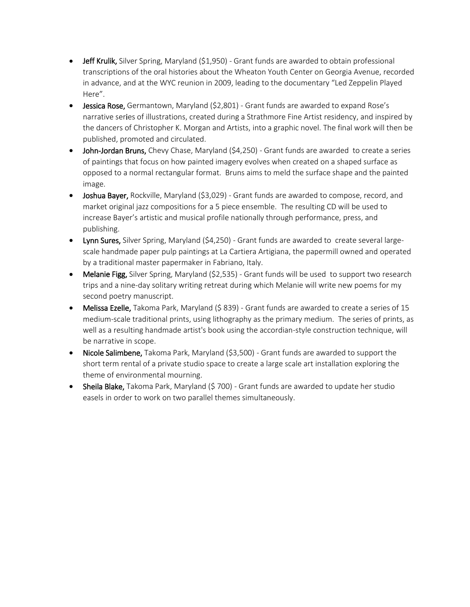- $\bullet$  Jeff Krulik, Silver Spring, Maryland (\$1,950) Grant funds are awarded to obtain professional transcriptions of the oral histories about the Wheaton Youth Center on Georgia Avenue, recorded in advance, and at the WYC reunion in 2009, leading to the documentary "Led Zeppelin Played Here".
- Jessica Rose, Germantown, Maryland (\$2,801) Grant funds are awarded to expand Rose's narrative series of illustrations, created during a Strathmore Fine Artist residency, and inspired by the dancers of Christopher K. Morgan and Artists, into a graphic novel. The final work will then be published, promoted and circulated.
- John-Jordan Bruns, Chevy Chase, Maryland (\$4,250) Grant funds are awarded to create a series of paintings that focus on how painted imagery evolves when created on a shaped surface as opposed to a normal rectangular format. Bruns aims to meld the surface shape and the painted image.
- Joshua Bayer, Rockville, Maryland (\$3,029) Grant funds are awarded to compose, record, and market original jazz compositions for a 5 piece ensemble. The resulting CD will be used to increase Bayer's artistic and musical profile nationally through performance, press, and publishing.
- Lynn Sures, Silver Spring, Maryland (\$4,250) Grant funds are awarded to create several largescale handmade paper pulp paintings at La Cartiera Artigiana, the papermill owned and operated by a traditional master papermaker in Fabriano, Italy.
- Melanie Figg, Silver Spring, Maryland (\$2,535) Grant funds will be used to support two research trips and a nine-day solitary writing retreat during which Melanie will write new poems for my second poetry manuscript.
- Melissa Ezelle, Takoma Park, Maryland (\$ 839) Grant funds are awarded to create a series of 15 medium-scale traditional prints, using lithography as the primary medium. The series of prints, as well as a resulting handmade artist's book using the accordian-style construction technique, will be narrative in scope.
- Nicole Salimbene, Takoma Park, Maryland (\$3,500) Grant funds are awarded to support the short term rental of a private studio space to create a large scale art installation exploring the theme of environmental mourning.
- Sheila Blake, Takoma Park, Maryland (\$700) Grant funds are awarded to update her studio easels in order to work on two parallel themes simultaneously.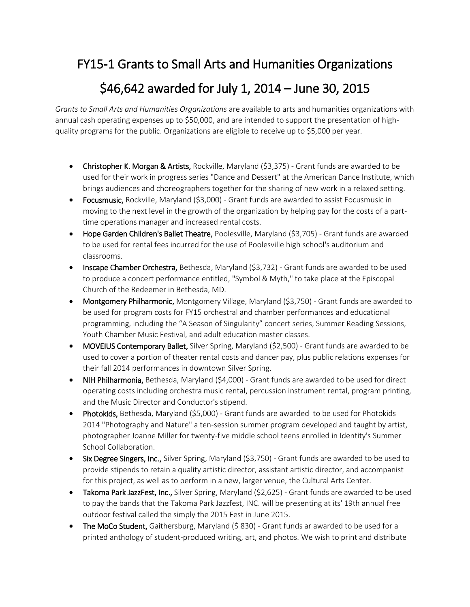#### FY15-1 Grants to Small Arts and Humanities Organizations

### \$46,642 awarded for July 1, 2014 – June 30, 2015

*Grants to Small Arts and Humanities Organizations* are available to arts and humanities organizations with annual cash operating expenses up to \$50,000, and are intended to support the presentation of highquality programs for the public. Organizations are eligible to receive up to \$5,000 per year.

- Christopher K. Morgan & Artists, Rockville, Maryland (\$3,375) Grant funds are awarded to be used for their work in progress series "Dance and Dessert" at the American Dance Institute, which brings audiences and choreographers together for the sharing of new work in a relaxed setting.
- Focusmusic, Rockville, Maryland (\$3,000) Grant funds are awarded to assist Focusmusic in moving to the next level in the growth of the organization by helping pay for the costs of a parttime operations manager and increased rental costs.
- Hope Garden Children's Ballet Theatre, Poolesville, Maryland (\$3,705) Grant funds are awarded to be used for rental fees incurred for the use of Poolesville high school's auditorium and classrooms.
- Inscape Chamber Orchestra, Bethesda, Maryland (\$3,732) Grant funds are awarded to be used to produce a concert performance entitled, "Symbol & Myth," to take place at the Episcopal Church of the Redeemer in Bethesda, MD.
- Montgomery Philharmonic, Montgomery Village, Maryland (\$3,750) Grant funds are awarded to be used for program costs for FY15 orchestral and chamber performances and educational programming, including the "A Season of Singularity" concert series, Summer Reading Sessions, Youth Chamber Music Festival, and adult education master classes.
- MOVEIUS Contemporary Ballet, Silver Spring, Maryland (\$2,500) Grant funds are awarded to be used to cover a portion of theater rental costs and dancer pay, plus public relations expenses for their fall 2014 performances in downtown Silver Spring.
- NIH Philharmonia, Bethesda, Maryland (\$4,000) Grant funds are awarded to be used for direct operating costs including orchestra music rental, percussion instrument rental, program printing, and the Music Director and Conductor's stipend.
- Photokids, Bethesda, Maryland (\$5,000) Grant funds are awarded to be used for Photokids 2014 "Photography and Nature" a ten-session summer program developed and taught by artist, photographer Joanne Miller for twenty-five middle school teens enrolled in Identity's Summer School Collaboration.
- Six Degree Singers, Inc., Silver Spring, Maryland (\$3,750) Grant funds are awarded to be used to provide stipends to retain a quality artistic director, assistant artistic director, and accompanist for this project, as well as to perform in a new, larger venue, the Cultural Arts Center.
- Takoma Park JazzFest, Inc., Silver Spring, Maryland (\$2,625) Grant funds are awarded to be used to pay the bands that the Takoma Park Jazzfest, INC. will be presenting at its' 19th annual free outdoor festival called the simply the 2015 Fest in June 2015.
- The MoCo Student, Gaithersburg, Maryland (\$830) Grant funds ar awarded to be used for a printed anthology of student-produced writing, art, and photos. We wish to print and distribute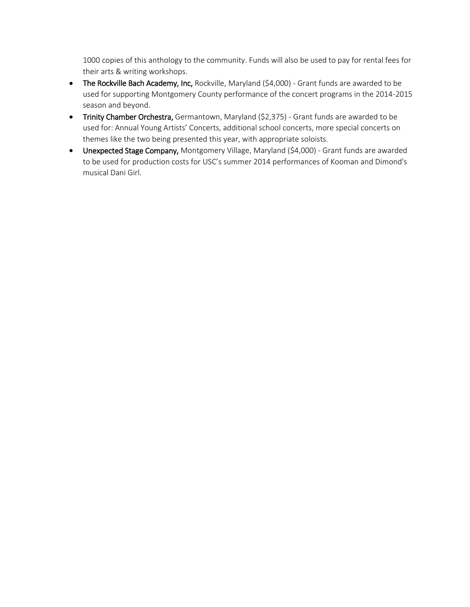1000 copies of this anthology to the community. Funds will also be used to pay for rental fees for their arts & writing workshops.

- The Rockville Bach Academy, Inc, Rockville, Maryland (\$4,000) Grant funds are awarded to be used for supporting Montgomery County performance of the concert programs in the 2014-2015 season and beyond.
- Trinity Chamber Orchestra, Germantown, Maryland (\$2,375) Grant funds are awarded to be used for: Annual Young Artists' Concerts, additional school concerts, more special concerts on themes like the two being presented this year, with appropriate soloists.
- Unexpected Stage Company, Montgomery Village, Maryland (\$4,000) Grant funds are awarded to be used for production costs for USC's summer 2014 performances of Kooman and Dimond's musical Dani Girl.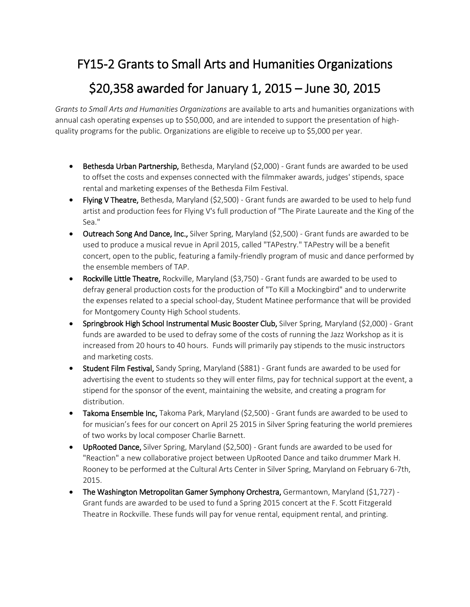#### FY15-2 Grants to Small Arts and Humanities Organizations

### \$20,358 awarded for January 1, 2015 – June 30, 2015

*Grants to Small Arts and Humanities Organizations* are available to arts and humanities organizations with annual cash operating expenses up to \$50,000, and are intended to support the presentation of highquality programs for the public. Organizations are eligible to receive up to \$5,000 per year.

- Bethesda Urban Partnership, Bethesda, Maryland (\$2,000) Grant funds are awarded to be used to offset the costs and expenses connected with the filmmaker awards, judges' stipends, space rental and marketing expenses of the Bethesda Film Festival.
- Flying V Theatre, Bethesda, Maryland (\$2,500) Grant funds are awarded to be used to help fund artist and production fees for Flying V's full production of "The Pirate Laureate and the King of the Sea."
- Outreach Song And Dance, Inc., Silver Spring, Maryland (\$2,500) Grant funds are awarded to be used to produce a musical revue in April 2015, called "TAPestry." TAPestry will be a benefit concert, open to the public, featuring a family-friendly program of music and dance performed by the ensemble members of TAP.
- Rockville Little Theatre, Rockville, Maryland (\$3,750) Grant funds are awarded to be used to defray general production costs for the production of "To Kill a Mockingbird" and to underwrite the expenses related to a special school-day, Student Matinee performance that will be provided for Montgomery County High School students.
- **Springbrook High School Instrumental Music Booster Club, Silver Spring, Maryland (\$2,000) Grant** funds are awarded to be used to defray some of the costs of running the Jazz Workshop as it is increased from 20 hours to 40 hours. Funds will primarily pay stipends to the music instructors and marketing costs.
- Student Film Festival, Sandy Spring, Maryland (\$881) Grant funds are awarded to be used for advertising the event to students so they will enter films, pay for technical support at the event, a stipend for the sponsor of the event, maintaining the website, and creating a program for distribution.
- Takoma Ensemble Inc, Takoma Park, Maryland (\$2,500) Grant funds are awarded to be used to for musician's fees for our concert on April 25 2015 in Silver Spring featuring the world premieres of two works by local composer Charlie Barnett.
- UpRooted Dance, Silver Spring, Maryland (\$2,500) Grant funds are awarded to be used for "Reaction" a new collaborative project between UpRooted Dance and taiko drummer Mark H. Rooney to be performed at the Cultural Arts Center in Silver Spring, Maryland on February 6-7th, 2015.
- The Washington Metropolitan Gamer Symphony Orchestra, Germantown, Maryland (\$1,727) -Grant funds are awarded to be used to fund a Spring 2015 concert at the F. Scott Fitzgerald Theatre in Rockville. These funds will pay for venue rental, equipment rental, and printing.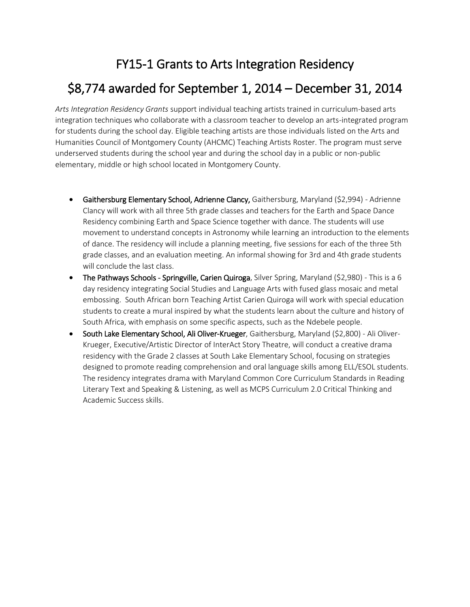## FY15-1 Grants to Arts Integration Residency

### \$8,774 awarded for September 1, 2014 – December 31, 2014

*Arts Integration Residency Grants* support individual teaching artists trained in curriculum-based arts integration techniques who collaborate with a classroom teacher to develop an arts-integrated program for students during the school day. Eligible teaching artists are those individuals listed on the Arts and Humanities Council of Montgomery County (AHCMC) Teaching Artists Roster. The program must serve underserved students during the school year and during the school day in a public or non-public elementary, middle or high school located in Montgomery County.

- Gaithersburg Elementary School, Adrienne Clancy, Gaithersburg, Maryland (\$2,994) Adrienne Clancy will work with all three 5th grade classes and teachers for the Earth and Space Dance Residency combining Earth and Space Science together with dance. The students will use movement to understand concepts in Astronomy while learning an introduction to the elements of dance. The residency will include a planning meeting, five sessions for each of the three 5th grade classes, and an evaluation meeting. An informal showing for 3rd and 4th grade students will conclude the last class.
- The Pathways Schools Springville, Carien Quiroga, Silver Spring, Maryland (\$2,980) This is a 6 day residency integrating Social Studies and Language Arts with fused glass mosaic and metal embossing. South African born Teaching Artist Carien Quiroga will work with special education students to create a mural inspired by what the students learn about the culture and history of South Africa, with emphasis on some specific aspects, such as the Ndebele people.
- South Lake Elementary School, Ali Oliver-Krueger, Gaithersburg, Maryland (\$2,800) Ali Oliver-Krueger, Executive/Artistic Director of InterAct Story Theatre, will conduct a creative drama residency with the Grade 2 classes at South Lake Elementary School, focusing on strategies designed to promote reading comprehension and oral language skills among ELL/ESOL students. The residency integrates drama with Maryland Common Core Curriculum Standards in Reading Literary Text and Speaking & Listening, as well as MCPS Curriculum 2.0 Critical Thinking and Academic Success skills.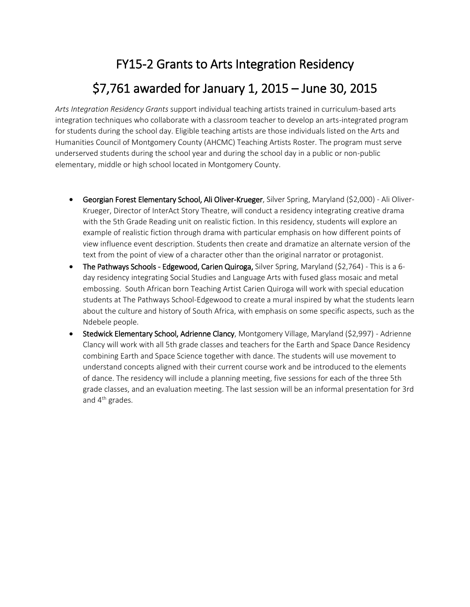# FY15-2 Grants to Arts Integration Residency \$7,761 awarded for January 1, 2015 – June 30, 2015

*Arts Integration Residency Grants* support individual teaching artists trained in curriculum-based arts integration techniques who collaborate with a classroom teacher to develop an arts-integrated program for students during the school day. Eligible teaching artists are those individuals listed on the Arts and Humanities Council of Montgomery County (AHCMC) Teaching Artists Roster. The program must serve underserved students during the school year and during the school day in a public or non-public elementary, middle or high school located in Montgomery County.

- Georgian Forest Elementary School, Ali Oliver-Krueger, Silver Spring, Maryland (\$2,000) Ali Oliver-Krueger, Director of InterAct Story Theatre, will conduct a residency integrating creative drama with the 5th Grade Reading unit on realistic fiction. In this residency, students will explore an example of realistic fiction through drama with particular emphasis on how different points of view influence event description. Students then create and dramatize an alternate version of the text from the point of view of a character other than the original narrator or protagonist.
- The Pathways Schools Edgewood, Carien Quiroga, Silver Spring, Maryland (\$2,764) This is a 6day residency integrating Social Studies and Language Arts with fused glass mosaic and metal embossing. South African born Teaching Artist Carien Quiroga will work with special education students at The Pathways School-Edgewood to create a mural inspired by what the students learn about the culture and history of South Africa, with emphasis on some specific aspects, such as the Ndebele people.
- Stedwick Elementary School, Adrienne Clancy, Montgomery Village, Maryland (\$2,997) Adrienne Clancy will work with all 5th grade classes and teachers for the Earth and Space Dance Residency combining Earth and Space Science together with dance. The students will use movement to understand concepts aligned with their current course work and be introduced to the elements of dance. The residency will include a planning meeting, five sessions for each of the three 5th grade classes, and an evaluation meeting. The last session will be an informal presentation for 3rd and 4<sup>th</sup> grades.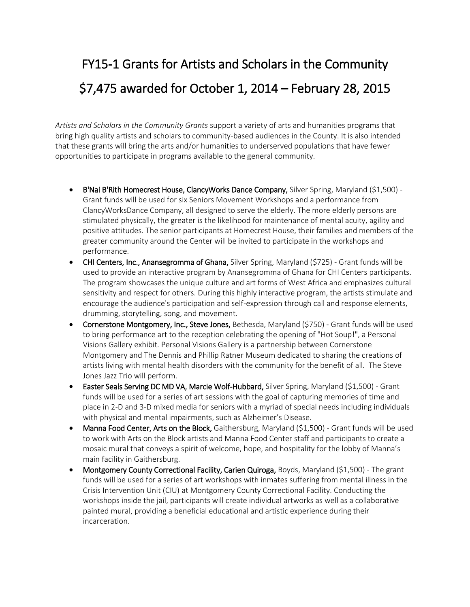## FY15-1 Grants for Artists and Scholars in the Community \$7,475 awarded for October 1, 2014 – February 28, 2015

*Artists and Scholars in the Community Grants* support a variety of arts and humanities programs that bring high quality artists and scholars to community-based audiences in the County. It is also intended that these grants will bring the arts and/or humanities to underserved populations that have fewer opportunities to participate in programs available to the general community.

- B'Nai B'Rith Homecrest House, ClancyWorks Dance Company, Silver Spring, Maryland (\$1,500) -Grant funds will be used for six Seniors Movement Workshops and a performance from ClancyWorksDance Company, all designed to serve the elderly. The more elderly persons are stimulated physically, the greater is the likelihood for maintenance of mental acuity, agility and positive attitudes. The senior participants at Homecrest House, their families and members of the greater community around the Center will be invited to participate in the workshops and performance.
- CHI Centers, Inc., Anansegromma of Ghana, Silver Spring, Maryland (\$725) Grant funds will be used to provide an interactive program by Anansegromma of Ghana for CHI Centers participants. The program showcases the unique culture and art forms of West Africa and emphasizes cultural sensitivity and respect for others. During this highly interactive program, the artists stimulate and encourage the audience's participation and self-expression through call and response elements, drumming, storytelling, song, and movement.
- **Cornerstone Montgomery, Inc., Steve Jones,** Bethesda, Maryland (\$750) Grant funds will be used to bring performance art to the reception celebrating the opening of "Hot Soup!", a Personal Visions Gallery exhibit. Personal Visions Gallery is a partnership between Cornerstone Montgomery and The Dennis and Phillip Ratner Museum dedicated to sharing the creations of artists living with mental health disorders with the community for the benefit of all. The Steve Jones Jazz Trio will perform.
- Easter Seals Serving DC MD VA, Marcie Wolf-Hubbard, Silver Spring, Maryland (\$1,500) Grant funds will be used for a series of art sessions with the goal of capturing memories of time and place in 2-D and 3-D mixed media for seniors with a myriad of special needs including individuals with physical and mental impairments, such as Alzheimer's Disease.
- Manna Food Center, Arts on the Block, Gaithersburg, Maryland (\$1,500) Grant funds will be used to work with Arts on the Block artists and Manna Food Center staff and participants to create a mosaic mural that conveys a spirit of welcome, hope, and hospitality for the lobby of Manna's main facility in Gaithersburg.
- Montgomery County Correctional Facility, Carien Quiroga, Boyds, Maryland (\$1,500) The grant funds will be used for a series of art workshops with inmates suffering from mental illness in the Crisis Intervention Unit (CIU) at Montgomery County Correctional Facility. Conducting the workshops inside the jail, participants will create individual artworks as well as a collaborative painted mural, providing a beneficial educational and artistic experience during their incarceration.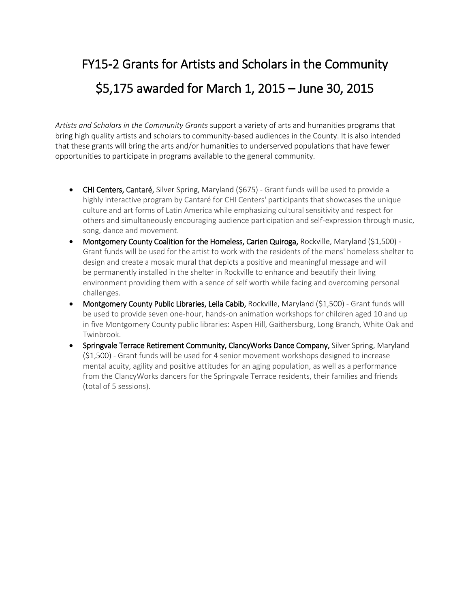### FY15-2 Grants for Artists and Scholars in the Community \$5,175 awarded for March 1, 2015 – June 30, 2015

*Artists and Scholars in the Community Grants* support a variety of arts and humanities programs that bring high quality artists and scholars to community-based audiences in the County. It is also intended that these grants will bring the arts and/or humanities to underserved populations that have fewer opportunities to participate in programs available to the general community.

- CHI Centers, Cantaré, Silver Spring, Maryland (\$675) Grant funds will be used to provide a highly interactive program by Cantaré for CHI Centers' participants that showcases the unique culture and art forms of Latin America while emphasizing cultural sensitivity and respect for others and simultaneously encouraging audience participation and self-expression through music, song, dance and movement.
- Montgomery County Coalition for the Homeless, Carien Quiroga, Rockville, Maryland (\$1,500) -Grant funds will be used for the artist to work with the residents of the mens' homeless shelter to design and create a mosaic mural that depicts a positive and meaningful message and will be permanently installed in the shelter in Rockville to enhance and beautify their living environment providing them with a sence of self worth while facing and overcoming personal challenges.
- Montgomery County Public Libraries, Leila Cabib, Rockville, Maryland (\$1,500) Grant funds will be used to provide seven one-hour, hands-on animation workshops for children aged 10 and up in five Montgomery County public libraries: Aspen Hill, Gaithersburg, Long Branch, White Oak and Twinbrook.
- Springvale Terrace Retirement Community, ClancyWorks Dance Company, Silver Spring, Maryland (\$1,500) - Grant funds will be used for 4 senior movement workshops designed to increase mental acuity, agility and positive attitudes for an aging population, as well as a performance from the ClancyWorks dancers for the Springvale Terrace residents, their families and friends (total of 5 sessions).